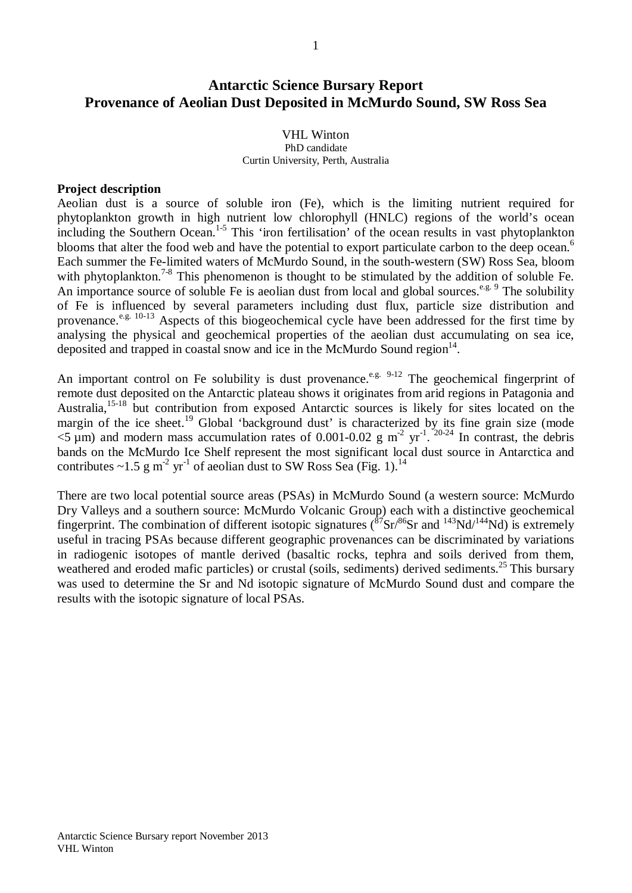# **Antarctic Science Bursary Report Provenance of Aeolian Dust Deposited in McMurdo Sound, SW Ross Sea**

## VHL Winton PhD candidate Curtin University, Perth, Australia

## **Project description**

Aeolian dust is a source of soluble iron (Fe), which is the limiting nutrient required for phytoplankton growth in high nutrient low chlorophyll (HNLC) regions of the world's ocean including the Southern Ocean.<sup>1-5</sup> This 'iron fertilisation' of the ocean results in vast phytoplankton blooms that alter the food web and have the potential to export particulate carbon to the deep ocean.<sup>6</sup> Each summer the Fe-limited waters of McMurdo Sound, in the south-western (SW) Ross Sea, bloom with phytoplankton.<sup>7-8</sup> This phenomenon is thought to be stimulated by the addition of soluble Fe. An importance source of soluble Fe is aeolian dust from local and global sources.<sup>e.g. 9</sup> The solubility of Fe is influenced by several parameters including dust flux, particle size distribution and provenance.<sup>e.g. 10-13</sup> Aspects of this biogeochemical cycle have been addressed for the first time by analysing the physical and geochemical properties of the aeolian dust accumulating on sea ice, deposited and trapped in coastal snow and ice in the McMurdo Sound region $14$ .

An important control on Fe solubility is dust provenance.<sup>e.g. 9-12</sup> The geochemical fingerprint of remote dust deposited on the Antarctic plateau shows it originates from arid regions in Patagonia and Australia,<sup>15-18</sup> but contribution from exposed Antarctic sources is likely for sites located on the margin of the ice sheet.<sup>19</sup> Global 'background dust' is characterized by its fine grain size (mode  $\leq$  (1) and modern mass accumulation rates of 0.001-0.02 g m<sup>-2</sup> yr<sup>-1</sup>. <sup>20-24</sup> In contrast, the debris bands on the McMurdo Ice Shelf represent the most significant local dust source in Antarctica and contributes  $\sim$ 1.5 g m<sup>-2</sup> yr<sup>-1</sup> of aeolian dust to SW Ross Sea (Fig. 1).<sup>14</sup>

There are two local potential source areas (PSAs) in McMurdo Sound (a western source: McMurdo Dry Valleys and a southern source: McMurdo Volcanic Group) each with a distinctive geochemical fingerprint. The combination of different isotopic signatures  $({}^{87}Sr/{}^{86}Sr$  and  $^{143}Nd/{}^{144}Nd)$  is extremely useful in tracing PSAs because different geographic provenances can be discriminated by variations in radiogenic isotopes of mantle derived (basaltic rocks, tephra and soils derived from them, weathered and eroded mafic particles) or crustal (soils, sediments) derived sediments.<sup>25</sup> This bursary was used to determine the Sr and Nd isotopic signature of McMurdo Sound dust and compare the results with the isotopic signature of local PSAs.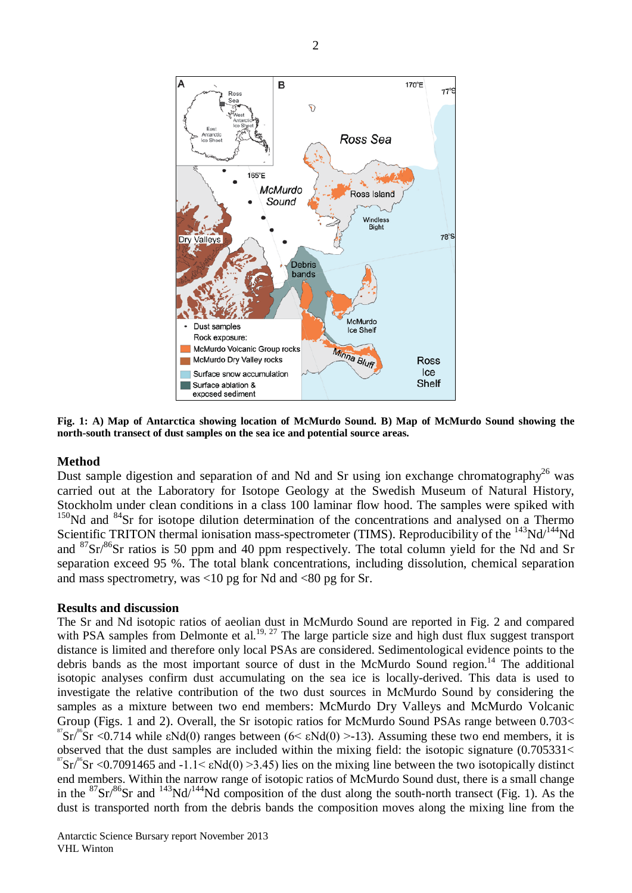

**Fig. 1: A) Map of Antarctica showing location of McMurdo Sound. B) Map of McMurdo Sound showing the north-south transect of dust samples on the sea ice and potential source areas.** 

## **Method**

Dust sample digestion and separation of and Nd and Sr using ion exchange chromatography<sup>26</sup> was carried out at the Laboratory for Isotope Geology at the Swedish Museum of Natural History, Stockholm under clean conditions in a class 100 laminar flow hood. The samples were spiked with  $150$ Nd and  $84$ Sr for isotope dilution determination of the concentrations and analysed on a Thermo Scientific TRITON thermal ionisation mass-spectrometer (TIMS). Reproducibility of the <sup>143</sup>Nd/<sup>144</sup>Nd and  $87\text{Sr}/86\text{Sr}$  ratios is 50 ppm and 40 ppm respectively. The total column yield for the Nd and Sr separation exceed 95 %. The total blank concentrations, including dissolution, chemical separation and mass spectrometry, was  $<10$  pg for Nd and  $<80$  pg for Sr.

### **Results and discussion**

The Sr and Nd isotopic ratios of aeolian dust in McMurdo Sound are reported in Fig. 2 and compared with PSA samples from Delmonte et al.<sup>19, 27</sup> The large particle size and high dust flux suggest transport distance is limited and therefore only local PSAs are considered. Sedimentological evidence points to the debris bands as the most important source of dust in the McMurdo Sound region.<sup>14</sup> The additional isotopic analyses confirm dust accumulating on the sea ice is locally-derived. This data is used to investigate the relative contribution of the two dust sources in McMurdo Sound by considering the samples as a mixture between two end members: McMurdo Dry Valleys and McMurdo Volcanic Group (Figs. 1 and 2). Overall, the Sr isotopic ratios for McMurdo Sound PSAs range between 0.703<<br><sup>87</sup>Sr<sup>%</sup>Sr <0.714 while εNd(0) ranges between (6< εNd(0) >-13). Assuming these two end members, it is observed that the dust samples are included within the mixing field: the isotopic signature (0.705331<  ${}^8$ Sr <0.7091465 and -1.1<  $\epsilon$ Nd(0) >3.45) lies on the mixing line between the two isotopically distinct end members. Within the narrow range of isotopic ratios of McMurdo Sound dust, there is a small change in the  ${}^{87}Sr/{}^{86}Sr$  and  ${}^{143}Nd/{}^{144}Nd$  composition of the dust along the south-north transect (Fig. 1). As the dust is transported north from the debris bands the composition moves along the mixing line from the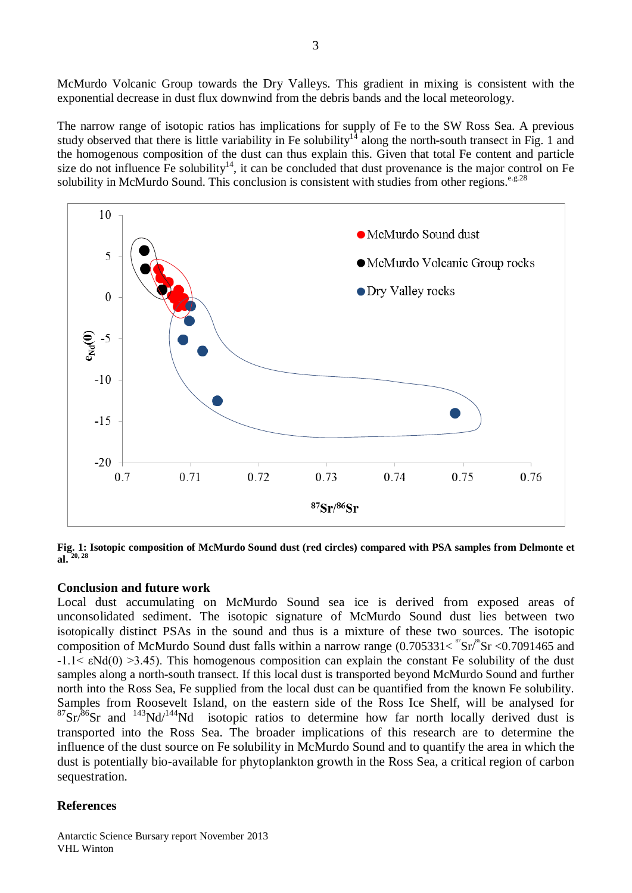McMurdo Volcanic Group towards the Dry Valleys. This gradient in mixing is consistent with the exponential decrease in dust flux downwind from the debris bands and the local meteorology.

The narrow range of isotopic ratios has implications for supply of Fe to the SW Ross Sea. A previous study observed that there is little variability in Fe solubility<sup>14</sup> along the north-south transect in Fig. 1 and the homogenous composition of the dust can thus explain this. Given that total Fe content and particle size do not influence  $\overline{F}e$  solubility<sup>14</sup>, it can be concluded that dust provenance is the major control on  $\overline{F}e$ solubility in McMurdo Sound. This conclusion is consistent with studies from other regions.<sup>e.g.28</sup>



**Fig. 1: Isotopic composition of McMurdo Sound dust (red circles) compared with PSA samples from Delmonte et al. 20, <sup>28</sup>**

#### **Conclusion and future work**

Local dust accumulating on McMurdo Sound sea ice is derived from exposed areas of unconsolidated sediment. The isotopic signature of McMurdo Sound dust lies between two isotopically distinct PSAs in the sound and thus is a mixture of these two sources. The isotopic composition of McMurdo Sound dust falls within a narrow range  $(0.705331 \lt \n\frac{8}{3} \text{Sr} \lt 0.7091465 \text{ and}$  $-1.1 \leq \epsilon N d(0) > 3.45$ ). This homogenous composition can explain the constant Fe solubility of the dust samples along a north-south transect. If this local dust is transported beyond McMurdo Sound and further north into the Ross Sea, Fe supplied from the local dust can be quantified from the known Fe solubility. Samples from Roosevelt Island, on the eastern side of the Ross Ice Shelf, will be analysed for  $87\text{Sr}$ <sup>86</sup>Sr and  $143\text{Nd}/144\text{Nd}$  isotopic ratios to determine how far north locally derived dust is transported into the Ross Sea. The broader implications of this research are to determine the influence of the dust source on Fe solubility in McMurdo Sound and to quantify the area in which the dust is potentially bio-available for phytoplankton growth in the Ross Sea, a critical region of carbon sequestration.

### **References**

Antarctic Science Bursary report November 2013 VHL Winton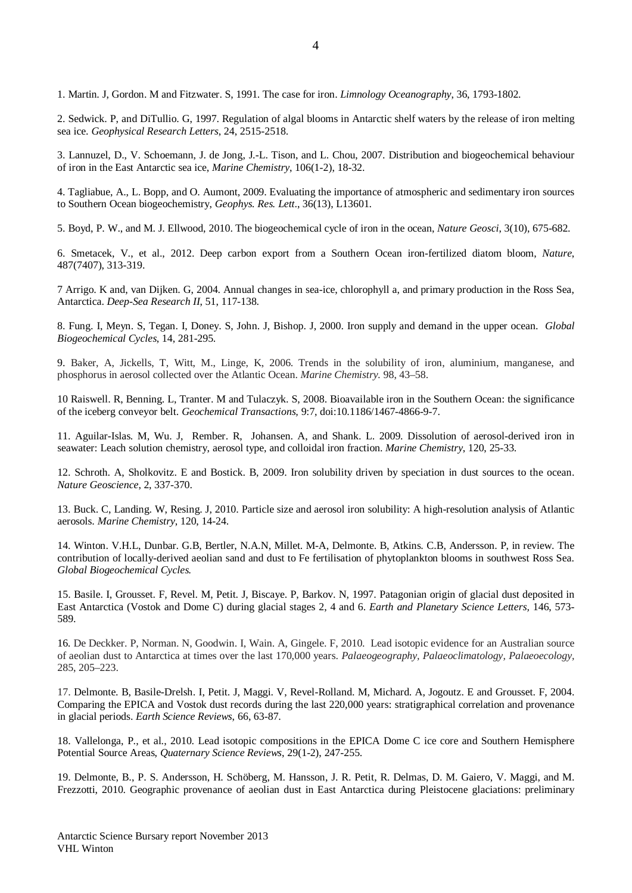1. Martin. J, Gordon. M and Fitzwater. S, 1991. The case for iron. *Limnology Oceanography*, 36, 1793-1802.

2. Sedwick. P, and DiTullio. G, 1997. Regulation of algal blooms in Antarctic shelf waters by the release of iron melting sea ice. *Geophysical Research Letters*, 24, 2515-2518.

3. Lannuzel, D., V. Schoemann, J. de Jong, J.-L. Tison, and L. Chou, 2007. Distribution and biogeochemical behaviour of iron in the East Antarctic sea ice, *Marine Chemistry*, 106(1-2), 18-32.

4. Tagliabue, A., L. Bopp, and O. Aumont, 2009. Evaluating the importance of atmospheric and sedimentary iron sources to Southern Ocean biogeochemistry, *Geophys. Res. Lett*., 36(13), L13601.

5. Boyd, P. W., and M. J. Ellwood, 2010. The biogeochemical cycle of iron in the ocean, *Nature Geosci*, 3(10), 675-682.

6. Smetacek, V., et al., 2012. Deep carbon export from a Southern Ocean iron-fertilized diatom bloom, *Nature*, 487(7407), 313-319.

7 Arrigo. K and, van Dijken. G, 2004. Annual changes in sea-ice, chlorophyll a, and primary production in the Ross Sea, Antarctica. *Deep-Sea Research II*, 51, 117-138.

8. Fung. I, Meyn. S, Tegan. I, Doney. S, John. J, Bishop. J, 2000. Iron supply and demand in the upper ocean. *Global Biogeochemical Cycles*, 14, 281-295.

9. Baker, A, Jickells, T, Witt, M., Linge, K, 2006. Trends in the solubility of iron, aluminium, manganese, and phosphorus in aerosol collected over the Atlantic Ocean. *Marine Chemistry.* 98, 43–58.

10 Raiswell. R, Benning. L, Tranter. M and Tulaczyk. S, 2008. Bioavailable iron in the Southern Ocean: the significance of the iceberg conveyor belt. *Geochemical Transactions,* 9:7, doi:10.1186/1467-4866-9-7.

11. [Aguilar-Islas.](http://www.sciencedirect.com/science?_ob=RedirectURL&_method=outwardLink&_partnerName=27983&_origin=article&_zone=art_page&_linkType=scopusAuthorDocuments&_targetURL=http%3A%2F%2Fwww.scopus.com%2Fscopus%2Finward%2Fauthor.url%3FpartnerID%3D10%26rel%3D3.0.0%26sortField%3Dcited%26sortOrder%3Dasc%26author%3DAguilar-Islas,%20Ana%20M.%26authorID%3D35754412700%26md5%3Db1035a23716e528b7c11db7cf4629c45&_acct=C000053190&_version=1&_userid=1495406&md5=ee599eb51ef5e7a4fff44afc660dd617) M, [Wu.](http://www.sciencedirect.com/science?_ob=RedirectURL&_method=outwardLink&_partnerName=27983&_origin=article&_zone=art_page&_linkType=scopusAuthorDocuments&_targetURL=http%3A%2F%2Fwww.scopus.com%2Fscopus%2Finward%2Fauthor.url%3FpartnerID%3D10%26rel%3D3.0.0%26sortField%3Dcited%26sortOrder%3Dasc%26author%3DWu,%20Jingfeng%26authorID%3D36145626400%26md5%3Dc2ea7d6d706badac2dd531db651cd853&_acct=C000053190&_version=1&_userid=1495406&md5=1899004c113a5cc35bd21bb51f55e698) J, [Rember.](http://www.sciencedirect.com/science?_ob=RedirectURL&_method=outwardLink&_partnerName=27983&_origin=article&_zone=art_page&_linkType=scopusAuthorDocuments&_targetURL=http%3A%2F%2Fwww.scopus.com%2Fscopus%2Finward%2Fauthor.url%3FpartnerID%3D10%26rel%3D3.0.0%26sortField%3Dcited%26sortOrder%3Dasc%26author%3DRember,%20Robert%26authorID%3D36099590700%26md5%3Dc2a6a4a124d8cab2f6ec328f79ff9547&_acct=C000053190&_version=1&_userid=1495406&md5=c9ed25f2b175ba9a99a348756190606b) R, [Johansen.](http://www.sciencedirect.com/science?_ob=RedirectURL&_method=outwardLink&_partnerName=27983&_origin=article&_zone=art_page&_linkType=scopusAuthorDocuments&_targetURL=http%3A%2F%2Fwww.scopus.com%2Fscopus%2Finward%2Fauthor.url%3FpartnerID%3D10%26rel%3D3.0.0%26sortField%3Dcited%26sortOrder%3Dasc%26author%3DJohansen,%20Anne%20M.%26authorID%3D7102328988%26md5%3Da35a35627c8271fe15e2a4f746950d2b&_acct=C000053190&_version=1&_userid=1495406&md5=7c218ae92c40218c6e666560a71667c9) A, and [Shank.](http://www.sciencedirect.com/science?_ob=RedirectURL&_method=outwardLink&_partnerName=27983&_origin=article&_zone=art_page&_linkType=scopusAuthorDocuments&_targetURL=http%3A%2F%2Fwww.scopus.com%2Fscopus%2Finward%2Fauthor.url%3FpartnerID%3D10%26rel%3D3.0.0%26sortField%3Dcited%26sortOrder%3Dasc%26author%3DShank,%20Lindsey%20M.%26authorID%3D36145445200%26md5%3Dbed3b08b363ef691626b3f6a3ebab551&_acct=C000053190&_version=1&_userid=1495406&md5=8fea58847efc7cfbb78ffefa6c6e1a11) L. 2009. Dissolution of aerosol-derived iron in seawater: Leach solution chemistry, aerosol type, and colloidal iron fraction. *Marine Chemistry*, 120, 25-33.

12. Schroth. A, Sholkovitz. E and Bostick. B, 2009. Iron solubility driven by speciation in dust sources to the ocean. *Nature Geoscience*, 2, 337-370.

13. Buck. C, Landing. W, Resing. J, 2010. Particle size and aerosol iron solubility: A high-resolution analysis of Atlantic aerosols. *Marine Chemistry*, 120, 14-24.

14. Winton. V.H.L, Dunbar. G.B, Bertler, N.A.N, Millet. M-A, Delmonte. B, Atkins. C.B, Andersson. P, in review. The contribution of locally-derived aeolian sand and dust to Fe fertilisation of phytoplankton blooms in southwest Ross Sea. *Global Biogeochemical Cycles.*

15. Basile. I, Grousset. F, Revel. M, Petit. J, Biscaye. P, Barkov. N, 1997. Patagonian origin of glacial dust deposited in East Antarctica (Vostok and Dome C) during glacial stages 2, 4 and 6. *Earth and Planetary Science Letters,* 146, 573- 589.

16*.* De Deckker. P, Norman. N, Goodwin. I, Wain. A, Gingele. F, 2010. Lead isotopic evidence for an Australian source of aeolian dust to Antarctica at times over the last 170,000 years. *Palaeogeography, Palaeoclimatology, Palaeoecology,*  285, 205–223.

17. Delmonte. B, Basile-Drelsh. I, Petit. J, Maggi. V, Revel-Rolland. M, Michard. A, Jogoutz. E and Grousset. F, 2004. Comparing the EPICA and Vostok dust records during the last 220,000 years: stratigraphical correlation and provenance in glacial periods. *Earth Science Reviews*, 66, 63-87.

18. Vallelonga, P., et al., 2010. Lead isotopic compositions in the EPICA Dome C ice core and Southern Hemisphere Potential Source Areas, *Quaternary Science Reviews*, 29(1-2), 247-255.

19. Delmonte, B., P. S. Andersson, H. Schöberg, M. Hansson, J. R. Petit, R. Delmas, D. M. Gaiero, V. Maggi, and M. Frezzotti, 2010. Geographic provenance of aeolian dust in East Antarctica during Pleistocene glaciations: preliminary